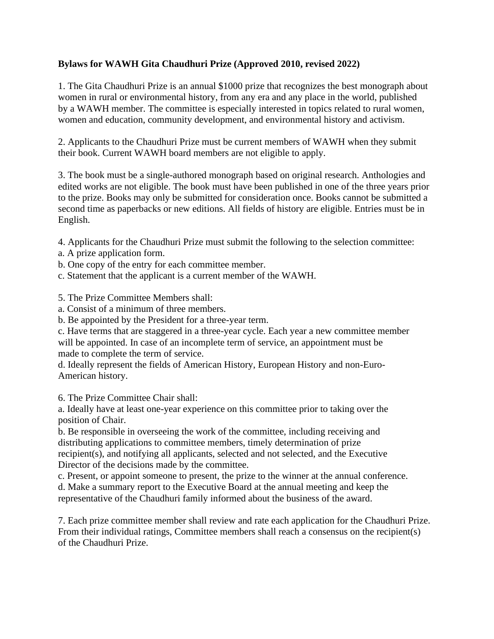## **Bylaws for WAWH Gita Chaudhuri Prize (Approved 2010, revised 2022)**

1. The Gita Chaudhuri Prize is an annual \$1000 prize that recognizes the best monograph about women in rural or environmental history, from any era and any place in the world, published by a WAWH member. The committee is especially interested in topics related to rural women, women and education, community development, and environmental history and activism.

2. Applicants to the Chaudhuri Prize must be current members of WAWH when they submit their book. Current WAWH board members are not eligible to apply.

3. The book must be a single-authored monograph based on original research. Anthologies and edited works are not eligible. The book must have been published in one of the three years prior to the prize. Books may only be submitted for consideration once. Books cannot be submitted a second time as paperbacks or new editions. All fields of history are eligible. Entries must be in English.

4. Applicants for the Chaudhuri Prize must submit the following to the selection committee:

- a. A prize application form.
- b. One copy of the entry for each committee member.
- c. Statement that the applicant is a current member of the WAWH.

5. The Prize Committee Members shall:

a. Consist of a minimum of three members.

b. Be appointed by the President for a three-year term.

c. Have terms that are staggered in a three-year cycle. Each year a new committee member will be appointed. In case of an incomplete term of service, an appointment must be made to complete the term of service.

d. Ideally represent the fields of American History, European History and non-Euro-American history.

6. The Prize Committee Chair shall:

a. Ideally have at least one-year experience on this committee prior to taking over the position of Chair.

b. Be responsible in overseeing the work of the committee, including receiving and distributing applications to committee members, timely determination of prize recipient(s), and notifying all applicants, selected and not selected, and the Executive Director of the decisions made by the committee.

c. Present, or appoint someone to present, the prize to the winner at the annual conference. d. Make a summary report to the Executive Board at the annual meeting and keep the representative of the Chaudhuri family informed about the business of the award.

7. Each prize committee member shall review and rate each application for the Chaudhuri Prize. From their individual ratings, Committee members shall reach a consensus on the recipient(s) of the Chaudhuri Prize.